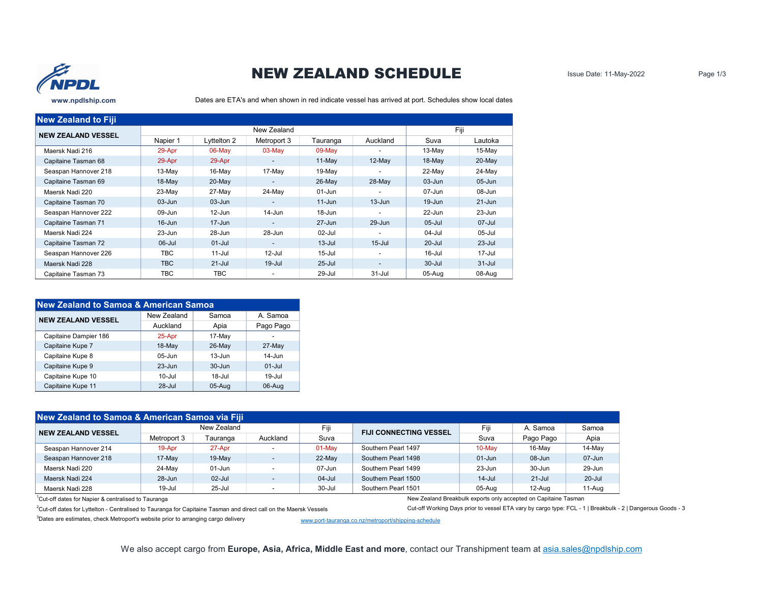

## NEW ZEALAND SCHEDULE

Dates are ETA's and when shown in red indicate vessel has arrived at port. Schedules show local dates

| <b>New Zealand to Fiji</b> |            |             |                          |            |                          |            |            |  |
|----------------------------|------------|-------------|--------------------------|------------|--------------------------|------------|------------|--|
| <b>NEW ZEALAND VESSEL</b>  |            | New Zealand |                          |            |                          | Fiii       |            |  |
|                            | Napier 1   | Lyttelton 2 | Metroport 3              | Tauranga   | Auckland                 | Suva       | Lautoka    |  |
| Maersk Nadi 216            | 29-Apr     | $06$ -May   | $03-May$                 | $09$ -May  |                          | 13-May     | $15$ -May  |  |
| Capitaine Tasman 68        | 29-Apr     | 29-Apr      | -                        | $11-May$   | $12$ -May                | $18$ -May  | $20$ -May  |  |
| Seaspan Hannover 218       | 13-May     | $16$ -May   | 17-May                   | 19-May     | $\overline{\phantom{a}}$ | 22-May     | 24-May     |  |
| Capitaine Tasman 69        | $18$ -May  | $20$ -May   | ۰.                       | $26$ -May  | $28-May$                 | $03 - Jun$ | $05 - Jun$ |  |
| Maersk Nadi 220            | 23-May     | 27-May      | 24-May                   | 01-Jun     |                          | 07-Jun     | 08-Jun     |  |
| Capitaine Tasman 70        | $03 - Jun$ | $03 - Jun$  | ۰.                       | $11 - Jun$ | $13 - Jun$               | $19 - Jun$ | $21 - Jun$ |  |
| Seaspan Hannover 222       | 09-Jun     | 12-Jun      | 14-Jun                   | 18-Jun     |                          | $22 - Jun$ | $23 - Jun$ |  |
| Capitaine Tasman 71        | $16 - Jun$ | $17 - Jun$  | $\overline{\phantom{0}}$ | $27 - Jun$ | 29-Jun                   | $05 -$ Jul | 07-Jul     |  |
| Maersk Nadi 224            | $23 - Jun$ | 28-Jun      | 28-Jun                   | $02$ -Jul  |                          | 04-Jul     | $05$ -Jul  |  |
| Capitaine Tasman 72        | $06$ -Jul  | $01 -$ Jul  | $\overline{\phantom{0}}$ | $13 -$ Jul | $15 -$ Jul               | $20 -$ Jul | $23 -$ Jul |  |
| Seaspan Hannover 226       | TBC        | $11 -$ Jul  | $12$ -Jul                | $15 -$ Jul |                          | $16$ -Jul  | $17 -$ Jul |  |
| Maersk Nadi 228            | <b>TBC</b> | $21 -$ Jul  | $19 -$ Jul               | $25 -$ Jul |                          | $30 -$ Jul | $31 -$ Jul |  |
| Capitaine Tasman 73        | ТВС        | TBC         | -                        | 29-Jul     | $31 -$ Jul               | 05-Aug     | 08-Aug     |  |

| New Zealand to Samoa & American Samoa |              |                    |              |  |  |  |  |  |
|---------------------------------------|--------------|--------------------|--------------|--|--|--|--|--|
| <b>NEW ZEALAND VESSEL</b>             | New Zealand  | Samoa              | A Samoa      |  |  |  |  |  |
|                                       | Auckland     | Apia               | Pago Pago    |  |  |  |  |  |
| Capitaine Dampier 186                 | 25-Apr       | 17-May             |              |  |  |  |  |  |
| Capitaine Kupe 7                      | $18-May$     | $26$ -May          | $27$ -May    |  |  |  |  |  |
| Capitaine Kupe 8                      | $05 - \ln n$ | $13-11n$           | $14 - \ln n$ |  |  |  |  |  |
| Capitaine Kupe 9                      | $23 - Jun$   | $30 - \frac{1}{2}$ | $01 -$ Jul   |  |  |  |  |  |
| Capitaine Kupe 10                     | $10 - 111$   | $18 - 111$         | $19 -$ Jul   |  |  |  |  |  |
| Capitaine Kupe 11                     | $28 -$ Jul   | $05 - Aug$         | 06-Aug       |  |  |  |  |  |

| New Zealand to Samoa & American Samoa via Fiji |             |             |                          |            |                               |            |            |            |  |  |
|------------------------------------------------|-------------|-------------|--------------------------|------------|-------------------------------|------------|------------|------------|--|--|
| <b>NEW ZEALAND VESSEL</b>                      |             | New Zealand |                          | Fiji       | <b>FIJI CONNECTING VESSEL</b> | Fiji       | A. Samoa   | Samoa      |  |  |
|                                                | Metroport 3 | Tauranga    | Auckland                 | Suva       |                               | Suva       | Pago Pago  | Apia       |  |  |
| Seaspan Hannover 214                           | 19-Apr      | 27-Apr      |                          | 01-May     | Southern Pearl 1497           | 10-May     | 16-May     | 14-May     |  |  |
| Seaspan Hannover 218                           | 17-May      | $19-May$    | $\overline{\phantom{a}}$ | 22-May     | Southern Pearl 1498           | $01 - Jun$ | 08-Jun     | 07-Jun     |  |  |
| Maersk Nadi 220                                | 24-May      | 01-Jun      |                          | $07 - Jun$ | Southern Pearl 1499           | $23 - Jun$ | 30-Jun     | 29-Jun     |  |  |
| Maersk Nadi 224                                | $28 - Jun$  | $02$ -Jul   | $\overline{\phantom{0}}$ | $04 -$ Jul | Southern Pearl 1500           | $14$ -Jul  | $21 -$ Jul | $20 -$ Jul |  |  |
| Maersk Nadi 228                                | 19-Jul      | $25 -$ Jul  | $\overline{\phantom{0}}$ | 30-Jul     | Southern Pearl 1501           | 05-Aug     | 12-Aug     | $11-Auq$   |  |  |

<sup>2</sup>Cut-off dates for Lyttelton - Centralised to Tauranga for Capitaine Tasman and direct call on the Maersk Vessels Cut-off Working Days prior to vessel ETA vary by cargo type: FCL - 1 | Breakbulk - 2 | Dangerous Goods - 3

1Cut-off dates for Napier & centralised to Tauranga New Zealand Breakbulk exports only accepted on Capitaine Tasman

<sup>3</sup>Dates are estimates, check Metroport's website prior to arranging cargo delivery www.port-tauranga.co.nz/metroport/shipping-schedule

We also accept cargo from Europe, Asia, Africa, Middle East and more, contact our Transhipment team at asia.sales@npdlship.com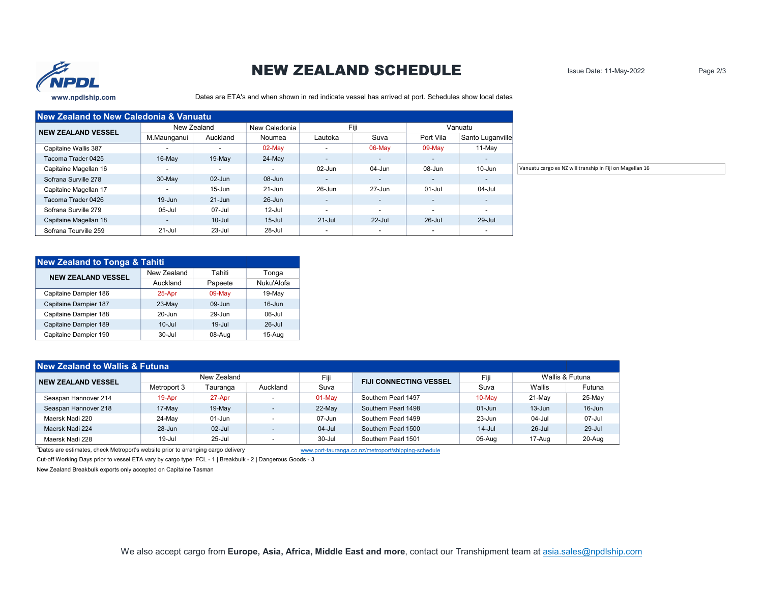

## NEW ZEALAND SCHEDULE

Issue Date: 11-May-2022 Page 2/3

Dates are ETA's and when shown in red indicate vessel has arrived at port. Schedules show local dates

| <b>New Zealand to New Caledonia &amp; Vanuatu</b> |                          |                          |                          |                          |                          |                          |                          |
|---------------------------------------------------|--------------------------|--------------------------|--------------------------|--------------------------|--------------------------|--------------------------|--------------------------|
| <b>NEW ZEALAND VESSEL</b>                         |                          | New Zealand              | New Caledonia            |                          | Fiji                     |                          | Vanuatu                  |
|                                                   | M.Maunganui              | Auckland                 | Noumea                   | Lautoka                  | Suva                     | Port Vila                | Santo Luganville         |
| Capitaine Wallis 387                              | $\overline{\phantom{0}}$ | $\overline{\phantom{a}}$ | $02$ -May                | $\overline{\phantom{a}}$ | 06-May                   | 09-May                   | 11-May                   |
| Tacoma Trader 0425                                | $16$ -May                | 19-May                   | 24-May                   | $\overline{\phantom{a}}$ | $\sim$                   | $\overline{\phantom{a}}$ | $\sim$                   |
| Capitaine Magellan 16                             |                          | $\overline{\phantom{a}}$ | $\overline{\phantom{a}}$ | 02-Jun                   | 04-Jun                   | 08-Jun                   | 10-Jun                   |
| Sofrana Surville 278                              | 30-May                   | 02-Jun                   | 08-Jun                   | $\overline{\phantom{a}}$ | $\sim$                   | $\overline{\phantom{a}}$ | $\sim$                   |
| Capitaine Magellan 17                             | $\overline{\phantom{a}}$ | $15 - Jun$               | 21-Jun                   | 26-Jun                   | 27-Jun                   | $01 -$ Jul               | 04-Jul                   |
| Tacoma Trader 0426                                | $19 - Jun$               | $21 - Jun$               | 26-Jun                   | $\overline{\phantom{a}}$ | $\sim$                   | $\overline{\phantom{a}}$ | $\sim$                   |
| Sofrana Surville 279                              | 05-Jul                   | 07-Jul                   | $12$ -Jul                | $\overline{\phantom{a}}$ | $\overline{\phantom{0}}$ | $\overline{\phantom{a}}$ | $\sim$                   |
| Capitaine Magellan 18                             | $\overline{\phantom{a}}$ | $10 -$ Jul               | $15 -$ Jul               | $21 -$ Jul               | $22$ -Jul                | $26 -$ Jul               | 29-Jul                   |
| Sofrana Tourville 259                             | $21 -$ Jul               | 23-Jul                   | 28-Jul                   | $\overline{\phantom{a}}$ | $\blacksquare$           | $\overline{\phantom{a}}$ | $\overline{\phantom{0}}$ |

| <b>New Zealand to Tonga &amp; Tahiti</b> |             |            |            |
|------------------------------------------|-------------|------------|------------|
| <b>NEW ZEALAND VESSEL</b>                | New Zealand | Tahiti     | Tonga      |
|                                          | Auckland    | Papeete    | Nuku'Alofa |
| Capitaine Dampier 186                    | 25-Apr      | 09-May     | 19-May     |
| Capitaine Dampier 187                    | $23-May$    | $09 - Jun$ | $16 - Jun$ |
| Capitaine Dampier 188                    | $20 - Jun$  | $29 - Jun$ | $06$ -Jul  |
| Capitaine Dampier 189                    | $10 -$ Jul  | $19 -$ Jul | $26$ -Jul  |
| Capitaine Dampier 190                    | $30 -$ Jul  | 08-Aug     | $15-Auq$   |

| <b>New Zealand to Wallis &amp; Futuna</b> |             |             |                          |            |                               |            |                 |            |
|-------------------------------------------|-------------|-------------|--------------------------|------------|-------------------------------|------------|-----------------|------------|
| <b>NEW ZEALAND VESSEL</b>                 |             | New Zealand |                          | Fiji       | <b>FIJI CONNECTING VESSEL</b> | Fiji       | Wallis & Futuna |            |
|                                           | Metroport 3 | Tauranga    | Auckland                 | Suva       |                               | Suva       | Wallis          | Futuna     |
| Seaspan Hannover 214                      | 19-Apr      | 27-Apr      | $\overline{\phantom{0}}$ | 01-May     | Southern Pearl 1497           | 10-May     | 21-May          | 25-May     |
| Seaspan Hannover 218                      | 17-May      | $19-May$    | $\overline{\phantom{a}}$ | 22-May     | Southern Pearl 1498           | $01 - Jun$ | $13 - Jun$      | $16 - Jun$ |
| Maersk Nadi 220                           | 24-May      | $01 - Jun$  | $\overline{\phantom{a}}$ | $07 - Jun$ | Southern Pearl 1499           | $23 - Jun$ | 04-Jul          | $07 -$ Jul |
| Maersk Nadi 224                           | 28-Jun      | $02$ -Jul   | $\overline{\phantom{a}}$ | $04 -$ Jul | Southern Pearl 1500           | $14 -$ Jul | 26-Jul          | 29-Jul     |
| Maersk Nadi 228                           | 19-Jul      | $25 -$ Jul  | $\overline{\phantom{a}}$ | 30-Jul     | Southern Pearl 1501           | 05-Aug     | 17-Aug          | 20-Aug     |

3Dates are estimates, check Metroport's website prior to arranging cargo delivery www.port-tauranga.co.nz/metroport/shipping-schedule

Cut-off Working Days prior to vessel ETA vary by cargo type: FCL - 1 | Breakbulk - 2 | Dangerous Goods - 3

New Zealand Breakbulk exports only accepted on Capitaine Tasman